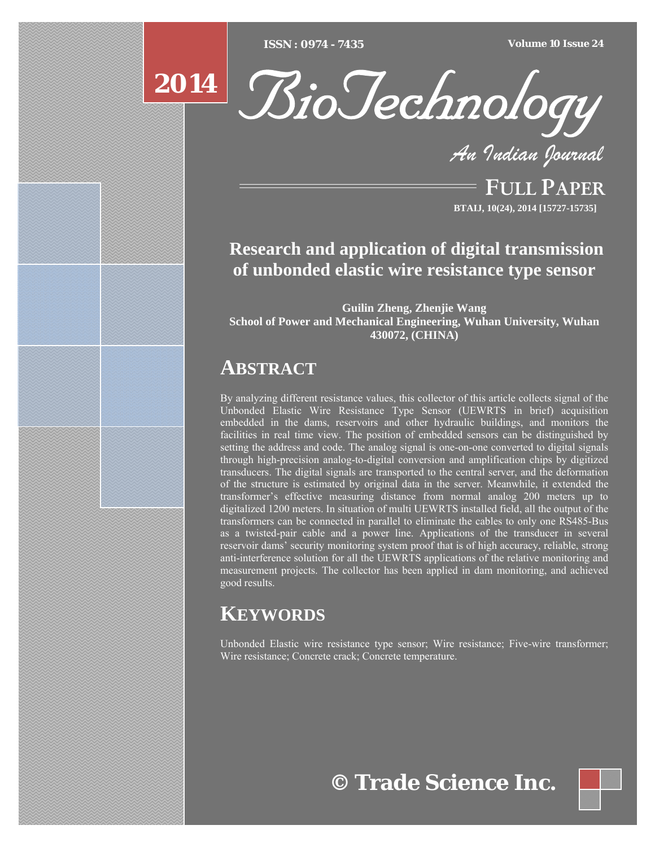[Type text] [Type text] [Type text] *ISSN : 0974 - 7435 Volume 10 Issue 24*



*An Indian Journal*

FULL PAPER **BTAIJ, 10(24), 2014 [15727-15735]**

# **Research and application of digital transmission of unbonded elastic wire resistance type sensor**

**Guilin Zheng, Zhenjie Wang School of Power and Mechanical Engineering, Wuhan University, Wuhan 430072, (CHINA)** 

# **ABSTRACT**

By analyzing different resistance values, this collector of this article collects signal of the Unbonded Elastic Wire Resistance Type Sensor (UEWRTS in brief) acquisition embedded in the dams, reservoirs and other hydraulic buildings, and monitors the facilities in real time view. The position of embedded sensors can be distinguished by setting the address and code. The analog signal is one-on-one converted to digital signals through high-precision analog-to-digital conversion and amplification chips by digitized transducers. The digital signals are transported to the central server, and the deformation of the structure is estimated by original data in the server. Meanwhile, it extended the transformer's effective measuring distance from normal analog 200 meters up to digitalized 1200 meters. In situation of multi UEWRTS installed field, all the output of the transformers can be connected in parallel to eliminate the cables to only one RS485-Bus as a twisted-pair cable and a power line. Applications of the transducer in several reservoir dams' security monitoring system proof that is of high accuracy, reliable, strong anti-interference solution for all the UEWRTS applications of the relative monitoring and measurement projects. The collector has been applied in dam monitoring, and achieved good results.

# **KEYWORDS**

Unbonded Elastic wire resistance type sensor; Wire resistance; Five-wire transformer; Wire resistance; Concrete crack; Concrete temperature.

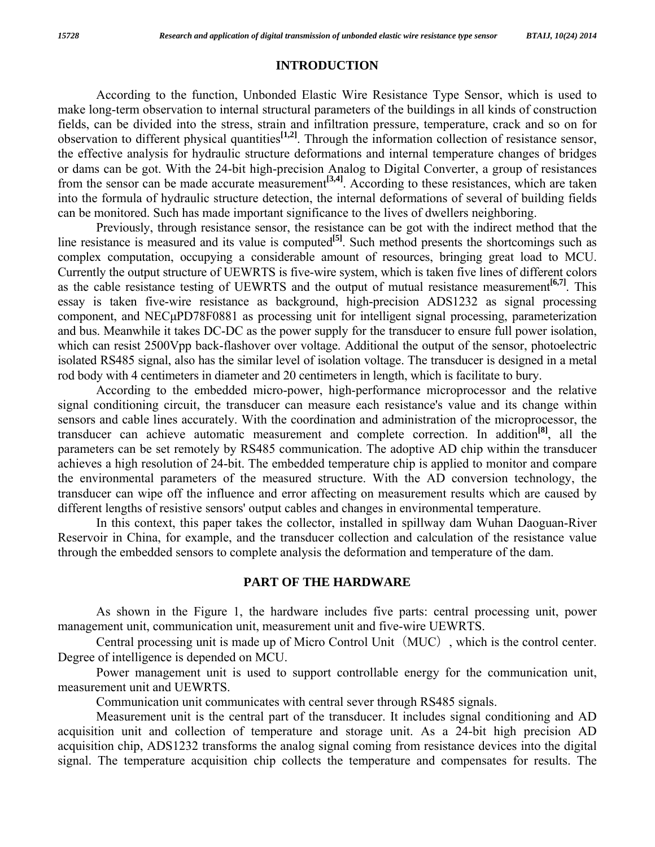# **INTRODUCTION**

 According to the function, Unbonded Elastic Wire Resistance Type Sensor, which is used to make long-term observation to internal structural parameters of the buildings in all kinds of construction fields, can be divided into the stress, strain and infiltration pressure, temperature, crack and so on for observation to different physical quantities**[1,2]**. Through the information collection of resistance sensor, the effective analysis for hydraulic structure deformations and internal temperature changes of bridges or dams can be got. With the 24-bit high-precision Analog to Digital Converter, a group of resistances from the sensor can be made accurate measurement<sup>[3,4]</sup>. According to these resistances, which are taken into the formula of hydraulic structure detection, the internal deformations of several of building fields can be monitored. Such has made important significance to the lives of dwellers neighboring.

 Previously, through resistance sensor, the resistance can be got with the indirect method that the line resistance is measured and its value is computed<sup>[5]</sup>. Such method presents the shortcomings such as complex computation, occupying a considerable amount of resources, bringing great load to MCU. Currently the output structure of UEWRTS is five-wire system, which is taken five lines of different colors as the cable resistance testing of UEWRTS and the output of mutual resistance measurement<sup>[6,7]</sup>. This essay is taken five-wire resistance as background, high-precision ADS1232 as signal processing component, and NECμPD78F0881 as processing unit for intelligent signal processing, parameterization and bus. Meanwhile it takes DC-DC as the power supply for the transducer to ensure full power isolation, which can resist 2500Vpp back-flashover over voltage. Additional the output of the sensor, photoelectric isolated RS485 signal, also has the similar level of isolation voltage. The transducer is designed in a metal rod body with 4 centimeters in diameter and 20 centimeters in length, which is facilitate to bury.

 According to the embedded micro-power, high-performance microprocessor and the relative signal conditioning circuit, the transducer can measure each resistance's value and its change within sensors and cable lines accurately. With the coordination and administration of the microprocessor, the transducer can achieve automatic measurement and complete correction. In addition**[8]**, all the parameters can be set remotely by RS485 communication. The adoptive AD chip within the transducer achieves a high resolution of 24-bit. The embedded temperature chip is applied to monitor and compare the environmental parameters of the measured structure. With the AD conversion technology, the transducer can wipe off the influence and error affecting on measurement results which are caused by different lengths of resistive sensors' output cables and changes in environmental temperature.

 In this context, this paper takes the collector, installed in spillway dam Wuhan Daoguan-River Reservoir in China, for example, and the transducer collection and calculation of the resistance value through the embedded sensors to complete analysis the deformation and temperature of the dam.

# **PART OF THE HARDWARE**

 As shown in the Figure 1, the hardware includes five parts: central processing unit, power management unit, communication unit, measurement unit and five-wire UEWRTS.

Central processing unit is made up of Micro Control Unit (MUC), which is the control center. Degree of intelligence is depended on MCU.

 Power management unit is used to support controllable energy for the communication unit, measurement unit and UEWRTS.

Communication unit communicates with central sever through RS485 signals.

 Measurement unit is the central part of the transducer. It includes signal conditioning and AD acquisition unit and collection of temperature and storage unit. As a 24-bit high precision AD acquisition chip, ADS1232 transforms the analog signal coming from resistance devices into the digital signal. The temperature acquisition chip collects the temperature and compensates for results. The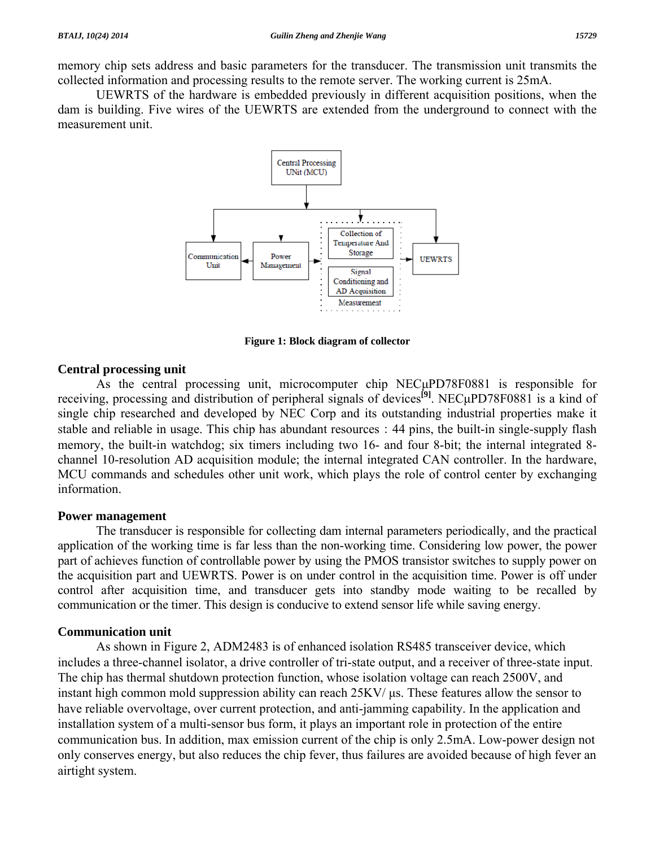UEWRTS of the hardware is embedded previously in different acquisition positions, when the dam is building. Five wires of the UEWRTS are extended from the underground to connect with the measurement unit.



**Figure 1: Block diagram of collector** 

# **Central processing unit**

As the central processing unit, microcomputer chip NEC<sub>u</sub>PD78F0881 is responsible for receiving, processing and distribution of peripheral signals of devices**[9]**. NECμPD78F0881 is a kind of single chip researched and developed by NEC Corp and its outstanding industrial properties make it stable and reliable in usage. This chip has abundant resources: 44 pins, the built-in single-supply flash memory, the built-in watchdog; six timers including two 16- and four 8-bit; the internal integrated 8 channel 10-resolution AD acquisition module; the internal integrated CAN controller. In the hardware, MCU commands and schedules other unit work, which plays the role of control center by exchanging information.

# **Power management**

 The transducer is responsible for collecting dam internal parameters periodically, and the practical application of the working time is far less than the non-working time. Considering low power, the power part of achieves function of controllable power by using the PMOS transistor switches to supply power on the acquisition part and UEWRTS. Power is on under control in the acquisition time. Power is off under control after acquisition time, and transducer gets into standby mode waiting to be recalled by communication or the timer. This design is conducive to extend sensor life while saving energy.

# **Communication unit**

 As shown in Figure 2, ADM2483 is of enhanced isolation RS485 transceiver device, which includes a three-channel isolator, a drive controller of tri-state output, and a receiver of three-state input. The chip has thermal shutdown protection function, whose isolation voltage can reach 2500V, and instant high common mold suppression ability can reach 25KV/ μs. These features allow the sensor to have reliable overvoltage, over current protection, and anti-jamming capability. In the application and installation system of a multi-sensor bus form, it plays an important role in protection of the entire communication bus. In addition, max emission current of the chip is only 2.5mA. Low-power design not only conserves energy, but also reduces the chip fever, thus failures are avoided because of high fever an airtight system.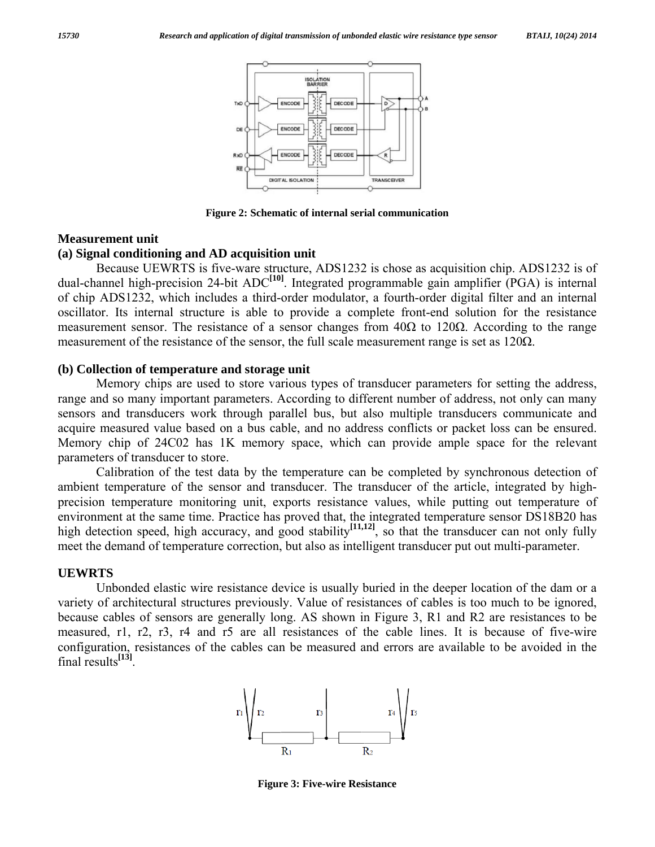

**Figure 2: Schematic of internal serial communication** 

#### **Measurement unit**

### **(a) Signal conditioning and AD acquisition unit**

 Because UEWRTS is five-ware structure, ADS1232 is chose as acquisition chip. ADS1232 is of dual-channel high-precision 24-bit ADC<sup>[10]</sup>. Integrated programmable gain amplifier (PGA) is internal of chip ADS1232, which includes a third-order modulator, a fourth-order digital filter and an internal oscillator. Its internal structure is able to provide a complete front-end solution for the resistance measurement sensor. The resistance of a sensor changes from  $40\Omega$  to 120 $\Omega$ . According to the range measurement of the resistance of the sensor, the full scale measurement range is set as  $120\Omega$ .

#### **(b) Collection of temperature and storage unit**

 Memory chips are used to store various types of transducer parameters for setting the address, range and so many important parameters. According to different number of address, not only can many sensors and transducers work through parallel bus, but also multiple transducers communicate and acquire measured value based on a bus cable, and no address conflicts or packet loss can be ensured. Memory chip of 24C02 has 1K memory space, which can provide ample space for the relevant parameters of transducer to store.

 Calibration of the test data by the temperature can be completed by synchronous detection of ambient temperature of the sensor and transducer. The transducer of the article, integrated by highprecision temperature monitoring unit, exports resistance values, while putting out temperature of environment at the same time. Practice has proved that, the integrated temperature sensor DS18B20 has high detection speed, high accuracy, and good stability<sup>[11,12]</sup>, so that the transducer can not only fully meet the demand of temperature correction, but also as intelligent transducer put out multi-parameter.

#### **UEWRTS**

 Unbonded elastic wire resistance device is usually buried in the deeper location of the dam or a variety of architectural structures previously. Value of resistances of cables is too much to be ignored, because cables of sensors are generally long. AS shown in Figure 3, R1 and R2 are resistances to be measured, r1, r2, r3, r4 and r5 are all resistances of the cable lines. It is because of five-wire configuration, resistances of the cables can be measured and errors are available to be avoided in the final results**[13]**.



**Figure 3: Five-wire Resistance**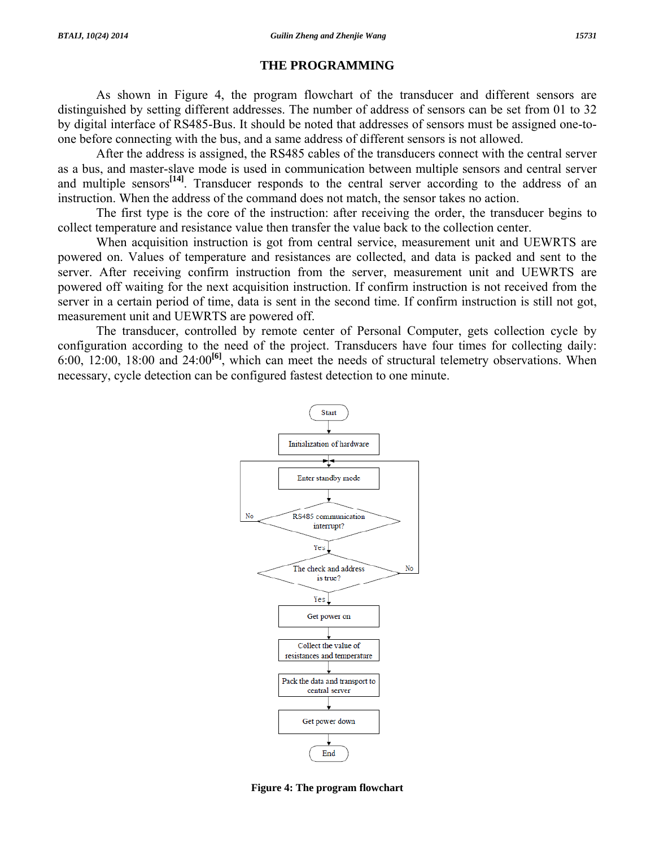### **THE PROGRAMMING**

 As shown in Figure 4, the program flowchart of the transducer and different sensors are distinguished by setting different addresses. The number of address of sensors can be set from 01 to 32 by digital interface of RS485-Bus. It should be noted that addresses of sensors must be assigned one-toone before connecting with the bus, and a same address of different sensors is not allowed.

 After the address is assigned, the RS485 cables of the transducers connect with the central server as a bus, and master-slave mode is used in communication between multiple sensors and central server and multiple sensors<sup>[14]</sup>. Transducer responds to the central server according to the address of an instruction. When the address of the command does not match, the sensor takes no action.

 The first type is the core of the instruction: after receiving the order, the transducer begins to collect temperature and resistance value then transfer the value back to the collection center.

 When acquisition instruction is got from central service, measurement unit and UEWRTS are powered on. Values of temperature and resistances are collected, and data is packed and sent to the server. After receiving confirm instruction from the server, measurement unit and UEWRTS are powered off waiting for the next acquisition instruction. If confirm instruction is not received from the server in a certain period of time, data is sent in the second time. If confirm instruction is still not got, measurement unit and UEWRTS are powered off.

 The transducer, controlled by remote center of Personal Computer, gets collection cycle by configuration according to the need of the project. Transducers have four times for collecting daily: 6:00, 12:00, 18:00 and 24:00**[6]**, which can meet the needs of structural telemetry observations. When necessary, cycle detection can be configured fastest detection to one minute.



**Figure 4: The program flowchart**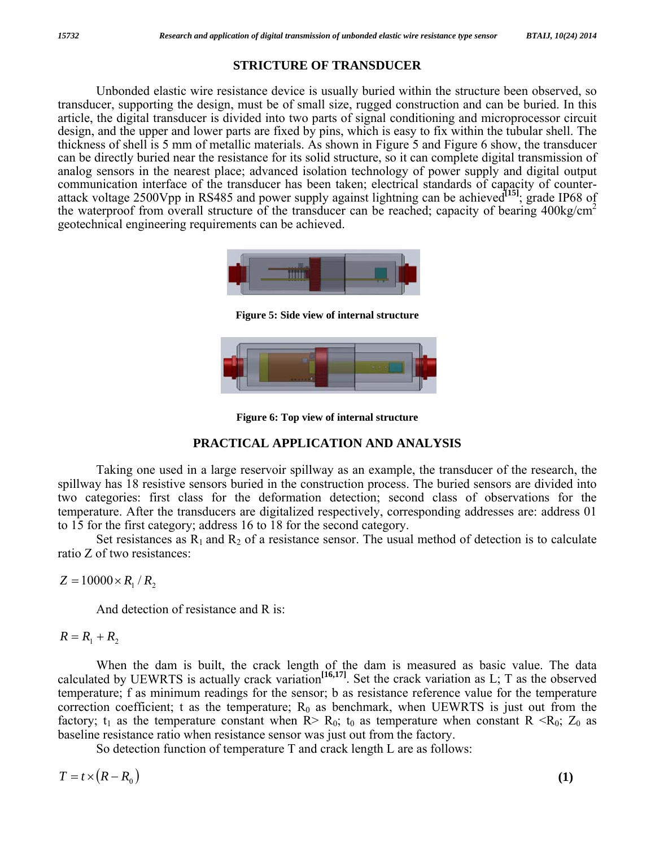# **STRICTURE OF TRANSDUCER**

 Unbonded elastic wire resistance device is usually buried within the structure been observed, so transducer, supporting the design, must be of small size, rugged construction and can be buried. In this article, the digital transducer is divided into two parts of signal conditioning and microprocessor circuit design, and the upper and lower parts are fixed by pins, which is easy to fix within the tubular shell. The thickness of shell is 5 mm of metallic materials. As shown in Figure 5 and Figure 6 show, the transducer can be directly buried near the resistance for its solid structure, so it can complete digital transmission of analog sensors in the nearest place; advanced isolation technology of power supply and digital output communication interface of the transducer has been taken; electrical standards of capacity of counterattack voltage 2500Vpp in RS485 and power supply against lightning can be achieved<sup>[15]</sup>; grade IP68 of the waterproof from overall structure of the transducer can be reached; capacity of bearing  $400\text{kg/cm}^2$ geotechnical engineering requirements can be achieved.



**Figure 5: Side view of internal structure** 



**Figure 6: Top view of internal structure** 

# **PRACTICAL APPLICATION AND ANALYSIS**

 Taking one used in a large reservoir spillway as an example, the transducer of the research, the spillway has 18 resistive sensors buried in the construction process. The buried sensors are divided into two categories: first class for the deformation detection; second class of observations for the temperature. After the transducers are digitalized respectively, corresponding addresses are: address 01 to 15 for the first category; address 16 to 18 for the second category.

Set resistances as  $R_1$  and  $R_2$  of a resistance sensor. The usual method of detection is to calculate ratio Z of two resistances:

 $Z = 10000 \times R_1 / R_2$ 

And detection of resistance and R is:

# $R = R_1 + R_2$

 When the dam is built, the crack length of the dam is measured as basic value. The data calculated by UEWRTS is actually crack variation<sup>[16,17]</sup>. Set the crack variation as  $L$ ; T as the observed temperature; f as minimum readings for the sensor; b as resistance reference value for the temperature correction coefficient; t as the temperature;  $R_0$  as benchmark, when UEWRTS is just out from the factory;  $t_1$  as the temperature constant when R> R<sub>0</sub>;  $t_0$  as temperature when constant R <R<sub>0</sub>; Z<sub>0</sub> as baseline resistance ratio when resistance sensor was just out from the factory.

So detection function of temperature T and crack length L are as follows:

$$
T = t \times (R - R_0) \tag{1}
$$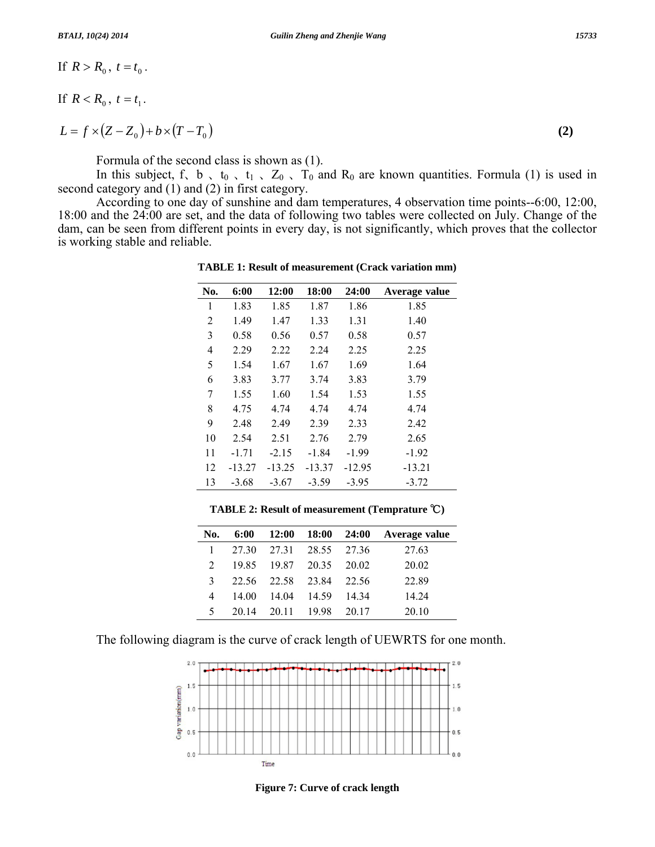$$
\text{If } R > R_0, \ t = t_0 \, .
$$

If  $R < R_0$ ,  $t = t_1$ .

$$
L = f \times (Z - Z_0) + b \times (T - T_0)
$$
 (2)

Formula of the second class is shown as (1).

In this subject, f, b, t<sub>0</sub>, t<sub>1</sub>, Z<sub>0</sub>, T<sub>0</sub> and R<sub>0</sub> are known quantities. Formula (1) is used in second category and (1) and (2) in first category.

 According to one day of sunshine and dam temperatures, 4 observation time points--6:00, 12:00, 18:00 and the 24:00 are set, and the data of following two tables were collected on July. Change of the dam, can be seen from different points in every day, is not significantly, which proves that the collector is working stable and reliable.

| No. | 6:00     | 12:00    | 18:00    | 24:00    | Average value |
|-----|----------|----------|----------|----------|---------------|
| 1   | 1.83     | 1.85     | 1.87     | 1.86     | 1.85          |
| 2   | 1.49     | 1.47     | 1.33     | 1.31     | 1.40          |
| 3   | 0.58     | 0.56     | 0.57     | 0.58     | 0.57          |
| 4   | 2.29     | 2.22     | 2.24     | 2.25     | 2.25          |
| 5   | 1.54     | 1.67     | 1.67     | 1.69     | 1.64          |
| 6   | 3.83     | 3.77     | 3.74     | 3.83     | 3.79          |
| 7   | 1.55     | 1.60     | 1.54     | 1.53     | 1.55          |
| 8   | 4.75     | 4.74     | 4.74     | 4.74     | 4.74          |
| 9   | 2.48     | 2.49     | 2.39     | 2.33     | 2.42          |
| 10  | 2.54     | 2.51     | 2.76     | 2.79     | 2.65          |
| 11  | $-1.71$  | $-2.15$  | $-1.84$  | $-1.99$  | $-1.92$       |
| 12  | $-13.27$ | $-13.25$ | $-13.37$ | $-12.95$ | $-13.21$      |
| 13  | $-3.68$  | $-3.67$  | $-3.59$  | $-3.95$  | $-3.72$       |

**TABLE 1: Result of measurement (Crack variation mm)** 

**TABLE 2: Result of measurement (Temprature** ℃**)** 

| No.           |       |                   |                   |       | 6:00 12:00 18:00 24:00 Average value |
|---------------|-------|-------------------|-------------------|-------|--------------------------------------|
|               | 27.30 |                   | 27.31 28.55 27.36 |       | 27.63                                |
| $\mathcal{L}$ | 19.85 |                   | 19.87 20.35 20.02 |       | 20.02                                |
| 3             |       | 22.56 22.58 23.84 |                   | 22.56 | 22.89                                |
| 4             | 14 00 |                   | 14.04 14.59       | 14.34 | 14.24                                |
| 5             | 20 14 | 20.11 19.98       |                   | 20.17 | 20.10                                |
|               |       |                   |                   |       |                                      |

The following diagram is the curve of crack length of UEWRTS for one month.



**Figure 7: Curve of crack length**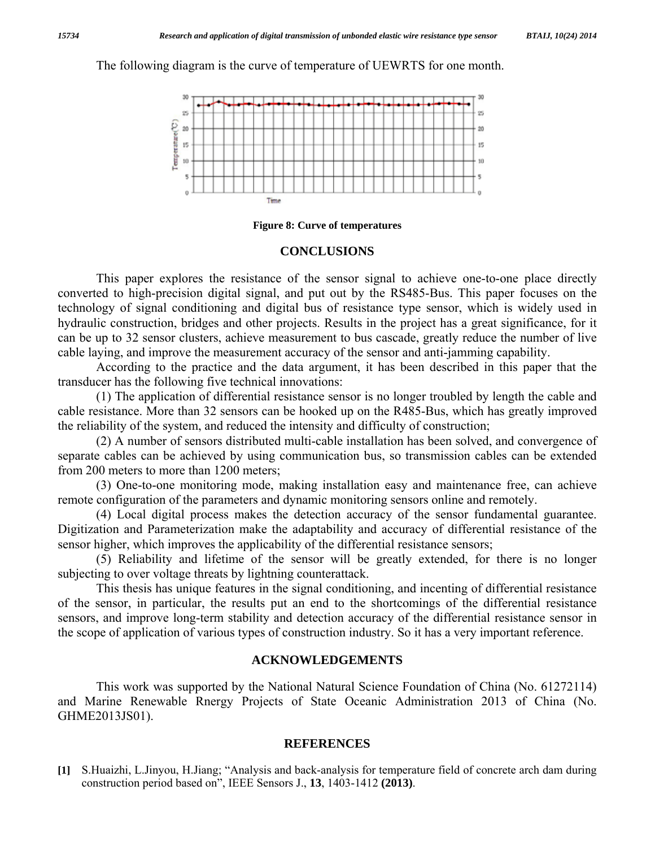The following diagram is the curve of temperature of UEWRTS for one month.



#### **Figure 8: Curve of temperatures**

#### **CONCLUSIONS**

 This paper explores the resistance of the sensor signal to achieve one-to-one place directly converted to high-precision digital signal, and put out by the RS485-Bus. This paper focuses on the technology of signal conditioning and digital bus of resistance type sensor, which is widely used in hydraulic construction, bridges and other projects. Results in the project has a great significance, for it can be up to 32 sensor clusters, achieve measurement to bus cascade, greatly reduce the number of live cable laying, and improve the measurement accuracy of the sensor and anti-jamming capability.

 According to the practice and the data argument, it has been described in this paper that the transducer has the following five technical innovations:

 (1) The application of differential resistance sensor is no longer troubled by length the cable and cable resistance. More than 32 sensors can be hooked up on the R485-Bus, which has greatly improved the reliability of the system, and reduced the intensity and difficulty of construction;

 (2) A number of sensors distributed multi-cable installation has been solved, and convergence of separate cables can be achieved by using communication bus, so transmission cables can be extended from 200 meters to more than 1200 meters;

 (3) One-to-one monitoring mode, making installation easy and maintenance free, can achieve remote configuration of the parameters and dynamic monitoring sensors online and remotely.

 (4) Local digital process makes the detection accuracy of the sensor fundamental guarantee. Digitization and Parameterization make the adaptability and accuracy of differential resistance of the sensor higher, which improves the applicability of the differential resistance sensors;

 (5) Reliability and lifetime of the sensor will be greatly extended, for there is no longer subjecting to over voltage threats by lightning counterattack.

 This thesis has unique features in the signal conditioning, and incenting of differential resistance of the sensor, in particular, the results put an end to the shortcomings of the differential resistance sensors, and improve long-term stability and detection accuracy of the differential resistance sensor in the scope of application of various types of construction industry. So it has a very important reference.

## **ACKNOWLEDGEMENTS**

 This work was supported by the National Natural Science Foundation of China (No. 61272114) and Marine Renewable Rnergy Projects of State Oceanic Administration 2013 of China (No. GHME2013JS01).

#### **REFERENCES**

**[1]** S.Huaizhi, L.Jinyou, H.Jiang; "Analysis and back-analysis for temperature field of concrete arch dam during construction period based on", IEEE Sensors J., **13**, 1403-1412 **(2013)**.